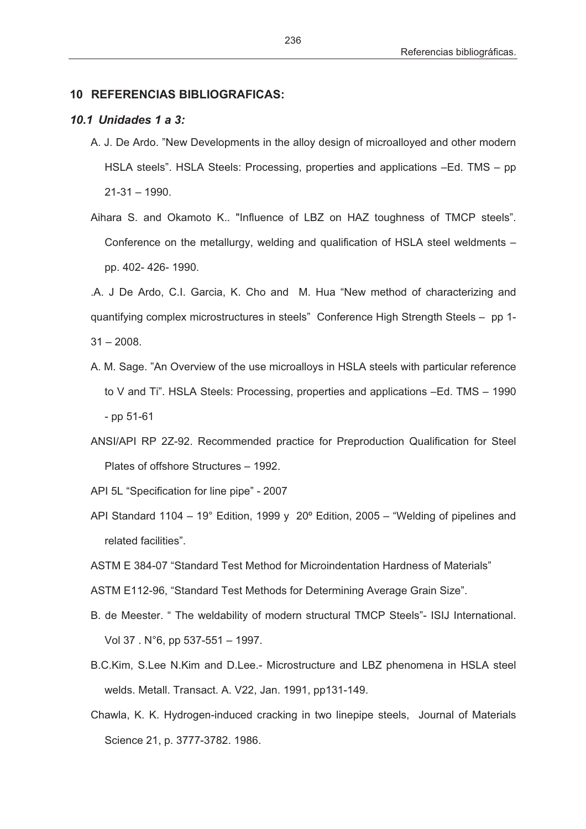## **10 REFERENCIAS BIBLIOGRAFICAS:**

## *10.1 Unidades 1 a 3:*

- A. J. De Ardo. "New Developments in the alloy design of microalloyed and other modern HSLA steels". HSLA Steels: Processing, properties and applications –Ed. TMS – pp 21-31 – 1990.
- Aihara S. and Okamoto K.. "Influence of LBZ on HAZ toughness of TMCP steels". Conference on the metallurgy, welding and qualification of HSLA steel weldments – pp. 402- 426- 1990.

.A. J De Ardo, C.I. Garcia, K. Cho and M. Hua "New method of characterizing and quantifying complex microstructures in steels" Conference High Strength Steels – pp 1-  $31 - 2008$ .

- A. M. Sage. "An Overview of the use microalloys in HSLA steels with particular reference to V and Ti". HSLA Steels: Processing, properties and applications –Ed. TMS – 1990 - pp 51-61
- ANSI/API RP 2Z-92. Recommended practice for Preproduction Qualification for Steel Plates of offshore Structures – 1992.
- API 5L "Specification for line pipe" 2007
- API Standard 1104 19° Edition, 1999 y 20º Edition, 2005 "Welding of pipelines and related facilities".
- ASTM E 384-07 "Standard Test Method for Microindentation Hardness of Materials"
- ASTM E112-96, "Standard Test Methods for Determining Average Grain Size".
- B. de Meester. " The weldability of modern structural TMCP Steels"- ISIJ International. Vol 37 . N°6, pp 537-551 – 1997.
- B.C.Kim, S.Lee N.Kim and D.Lee.- Microstructure and LBZ phenomena in HSLA steel welds. Metall. Transact. A. V22, Jan. 1991, pp131-149.
- Chawla, K. K. Hydrogen-induced cracking in two linepipe steels, Journal of Materials Science 21, p. 3777-3782. 1986.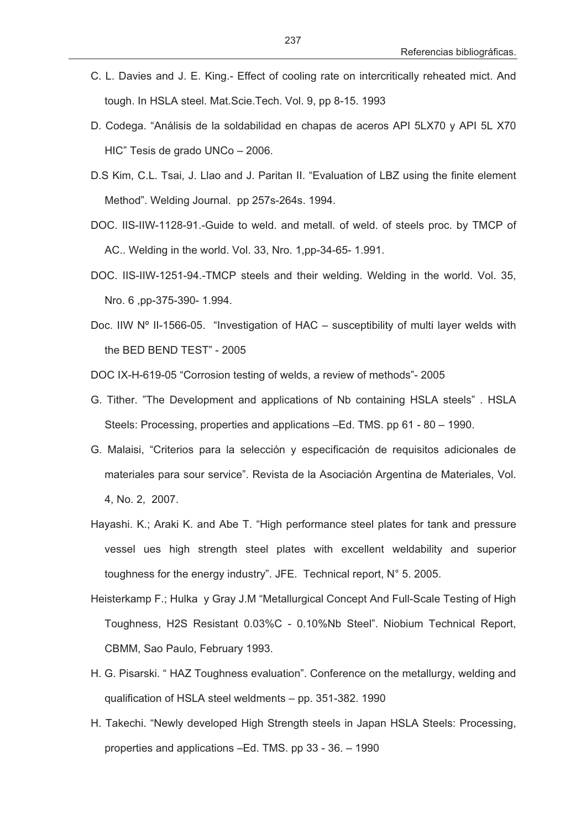- C. L. Davies and J. E. King.- Effect of cooling rate on intercritically reheated mict. And tough. In HSLA steel. Mat.Scie.Tech. Vol. 9, pp 8-15. 1993
- D. Codega. "Análisis de la soldabilidad en chapas de aceros API 5LX70 y API 5L X70 HIC" Tesis de grado UNCo – 2006.
- D.S Kim, C.L. Tsai, J. Llao and J. Paritan II. "Evaluation of LBZ using the finite element Method". Welding Journal. pp 257s-264s. 1994.
- DOC. IIS-IIW-1128-91.-Guide to weld. and metall. of weld. of steels proc. by TMCP of AC.. Welding in the world. Vol. 33, Nro. 1,pp-34-65- 1.991.
- DOC. IIS-IIW-1251-94.-TMCP steels and their welding. Welding in the world. Vol. 35, Nro. 6 ,pp-375-390- 1.994.
- Doc. IIW Nº II-1566-05. "Investigation of HAC susceptibility of multi layer welds with the BED BEND TEST" - 2005

DOC IX-H-619-05 "Corrosion testing of welds, a review of methods"- 2005

- G. Tither. "The Development and applications of Nb containing HSLA steels" . HSLA Steels: Processing, properties and applications –Ed. TMS. pp 61 - 80 – 1990.
- G. Malaisi, "Criterios para la selección y especificación de requisitos adicionales de materiales para sour service". Revista de la Asociación Argentina de Materiales, Vol. 4, No. 2, 2007.
- Hayashi. K.; Araki K. and Abe T. "High performance steel plates for tank and pressure vessel ues high strength steel plates with excellent weldability and superior toughness for the energy industry". JFE. Technical report, N° 5. 2005.
- Heisterkamp F.; Hulka y Gray J.M "Metallurgical Concept And Full-Scale Testing of High Toughness, H2S Resistant 0.03%C - 0.10%Nb Steel". Niobium Technical Report, CBMM, Sao Paulo, February 1993.
- H. G. Pisarski. " HAZ Toughness evaluation". Conference on the metallurgy, welding and qualification of HSLA steel weldments – pp. 351-382. 1990
- H. Takechi. "Newly developed High Strength steels in Japan HSLA Steels: Processing, properties and applications –Ed. TMS. pp 33 - 36. – 1990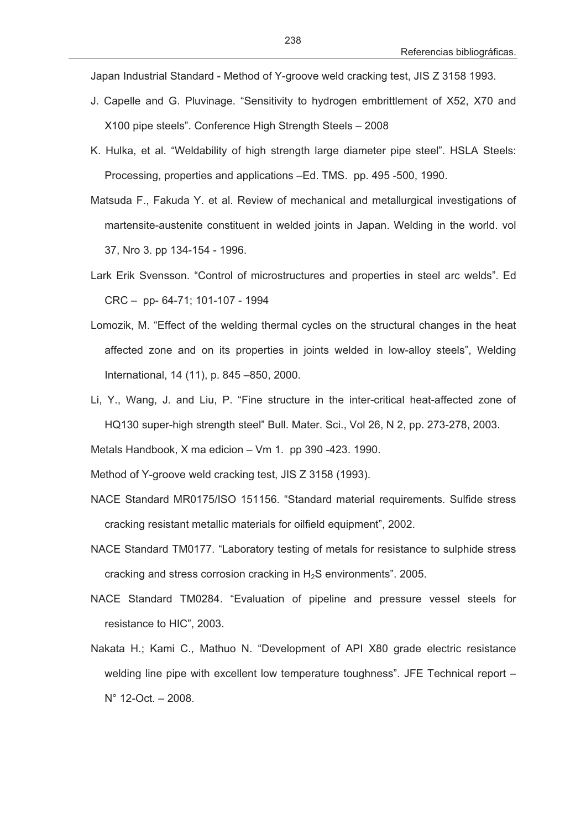Japan Industrial Standard - Method of Y-groove weld cracking test, JIS Z 3158 1993.

- J. Capelle and G. Pluvinage. "Sensitivity to hydrogen embrittlement of X52, X70 and X100 pipe steels". Conference High Strength Steels – 2008
- K. Hulka, et al. "Weldability of high strength large diameter pipe steel". HSLA Steels: Processing, properties and applications –Ed. TMS. pp. 495 -500, 1990.
- Matsuda F., Fakuda Y. et al. Review of mechanical and metallurgical investigations of martensite-austenite constituent in welded joints in Japan. Welding in the world. vol 37, Nro 3. pp 134-154 - 1996.
- Lark Erik Svensson. "Control of microstructures and properties in steel arc welds". Ed CRC – pp- 64-71; 101-107 - 1994
- Lomozik, M. "Effect of the welding thermal cycles on the structural changes in the heat affected zone and on its properties in joints welded in low-alloy steels", Welding International, 14 (11), p. 845 –850, 2000.
- Li, Y., Wang, J. and Liu, P. "Fine structure in the inter-critical heat-affected zone of HQ130 super-high strength steel" Bull. Mater. Sci., Vol 26, N 2, pp. 273-278, 2003.

Metals Handbook, X ma edicion – Vm 1. pp 390 -423. 1990.

Method of Y-groove weld cracking test, JIS Z 3158 (1993).

- NACE Standard MR0175/ISO 151156. "Standard material requirements. Sulfide stress cracking resistant metallic materials for oilfield equipment", 2002.
- NACE Standard TM0177. "Laboratory testing of metals for resistance to sulphide stress cracking and stress corrosion cracking in  $H_2S$  environments". 2005.
- NACE Standard TM0284. "Evaluation of pipeline and pressure vessel steels for resistance to HIC", 2003.
- Nakata H.; Kami C., Mathuo N. "Development of API X80 grade electric resistance welding line pipe with excellent low temperature toughness". JFE Technical report – N° 12-Oct. – 2008.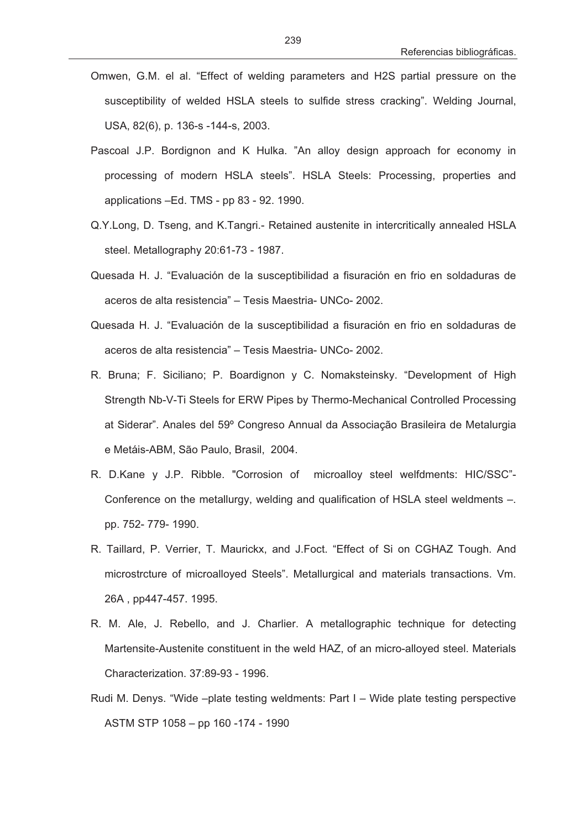- Omwen, G.M. el al. "Effect of welding parameters and H2S partial pressure on the susceptibility of welded HSLA steels to sulfide stress cracking". Welding Journal, USA, 82(6), p. 136-s -144-s, 2003.
- Pascoal J.P. Bordignon and K Hulka. "An alloy design approach for economy in processing of modern HSLA steels". HSLA Steels: Processing, properties and applications –Ed. TMS - pp 83 - 92. 1990.
- Q.Y.Long, D. Tseng, and K.Tangri.- Retained austenite in intercritically annealed HSLA steel. Metallography 20:61-73 - 1987.
- Quesada H. J. "Evaluación de la susceptibilidad a fisuración en frio en soldaduras de aceros de alta resistencia" – Tesis Maestria- UNCo- 2002.
- Quesada H. J. "Evaluación de la susceptibilidad a fisuración en frio en soldaduras de aceros de alta resistencia" – Tesis Maestria- UNCo- 2002.
- R. Bruna; F. Siciliano; P. Boardignon y C. Nomaksteinsky. "Development of High Strength Nb-V-Ti Steels for ERW Pipes by Thermo-Mechanical Controlled Processing at Siderar". Anales del 59º Congreso Annual da Associação Brasileira de Metalurgia e Metáis-ABM, São Paulo, Brasil, 2004.
- R. D.Kane y J.P. Ribble. "Corrosion of microalloy steel welfdments: HIC/SSC"- Conference on the metallurgy, welding and qualification of HSLA steel weldments –. pp. 752- 779- 1990.
- R. Taillard, P. Verrier, T. Maurickx, and J.Foct. "Effect of Si on CGHAZ Tough. And microstrcture of microalloyed Steels". Metallurgical and materials transactions. Vm. 26A , pp447-457. 1995.
- R. M. Ale, J. Rebello, and J. Charlier. A metallographic technique for detecting Martensite-Austenite constituent in the weld HAZ, of an micro-alloyed steel. Materials Characterization. 37:89-93 - 1996.
- Rudi M. Denys. "Wide –plate testing weldments: Part I Wide plate testing perspective ASTM STP 1058 – pp 160 -174 - 1990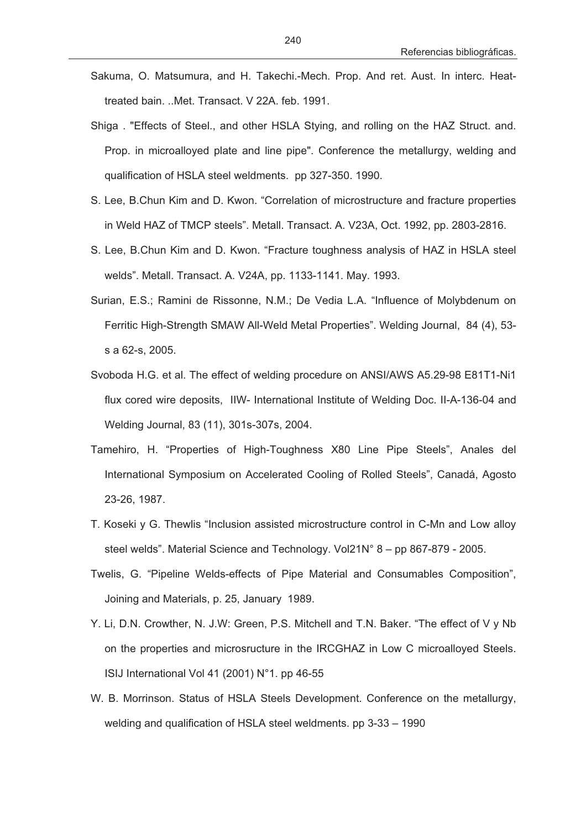- Sakuma, O. Matsumura, and H. Takechi.-Mech. Prop. And ret. Aust. In interc. Heattreated bain. ..Met. Transact. V 22A. feb. 1991.
- Shiga . "Effects of Steel., and other HSLA Stying, and rolling on the HAZ Struct. and. Prop. in microalloyed plate and line pipe". Conference the metallurgy, welding and qualification of HSLA steel weldments. pp 327-350. 1990.
- S. Lee, B.Chun Kim and D. Kwon. "Correlation of microstructure and fracture properties in Weld HAZ of TMCP steels". Metall. Transact. A. V23A, Oct. 1992, pp. 2803-2816.
- S. Lee, B.Chun Kim and D. Kwon. "Fracture toughness analysis of HAZ in HSLA steel welds". Metall. Transact. A. V24A, pp. 1133-1141. May. 1993.
- Surian, E.S.; Ramini de Rissonne, N.M.; De Vedia L.A. "Influence of Molybdenum on Ferritic High-Strength SMAW All-Weld Metal Properties". Welding Journal, 84 (4), 53 s a 62-s, 2005.
- Svoboda H.G. et al. The effect of welding procedure on ANSI/AWS A5.29-98 E81T1-Ni1 flux cored wire deposits, IIW- International Institute of Welding Doc. II-A-136-04 and Welding Journal, 83 (11), 301s-307s, 2004.
- Tamehiro, H. "Properties of High-Toughness X80 Line Pipe Steels", Anales del International Symposium on Accelerated Cooling of Rolled Steels", Canadá, Agosto 23-26, 1987.
- T. Koseki y G. Thewlis "Inclusion assisted microstructure control in C-Mn and Low alloy steel welds". Material Science and Technology. Vol21N° 8 – pp 867-879 - 2005.
- Twelis, G. "Pipeline Welds-effects of Pipe Material and Consumables Composition", Joining and Materials, p. 25, January 1989.
- Y. Li, D.N. Crowther, N. J.W: Green, P.S. Mitchell and T.N. Baker. "The effect of V y Nb on the properties and microsructure in the IRCGHAZ in Low C microalloyed Steels. ISIJ International Vol 41 (2001) N°1. pp 46-55
- W. B. Morrinson. Status of HSLA Steels Development. Conference on the metallurgy, welding and qualification of HSLA steel weldments. pp 3-33 – 1990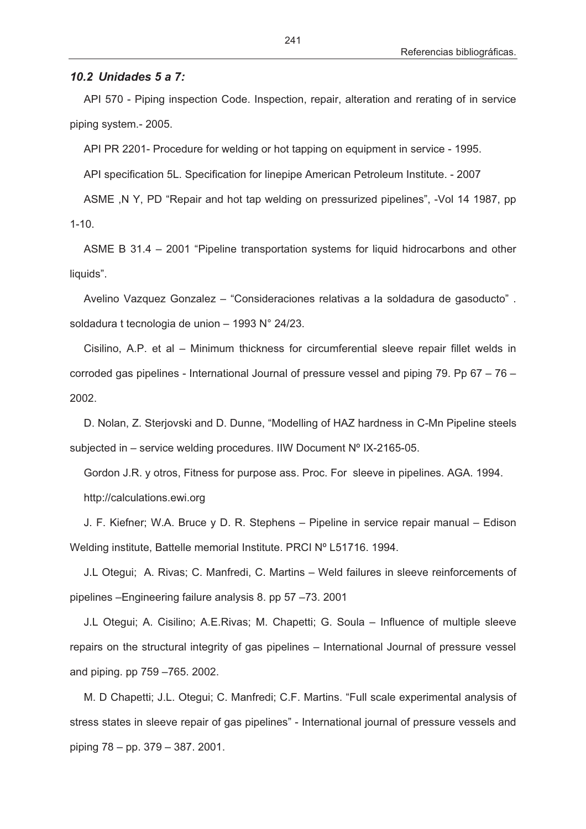## *10.2 Unidades 5 a 7:*

API 570 - Piping inspection Code. Inspection, repair, alteration and rerating of in service piping system.- 2005.

API PR 2201- Procedure for welding or hot tapping on equipment in service - 1995.

API specification 5L. Specification for linepipe American Petroleum Institute. - 2007

ASME ,N Y, PD "Repair and hot tap welding on pressurized pipelines", -Vol 14 1987, pp  $1 - 10$ .

ASME B 31.4 – 2001 "Pipeline transportation systems for liquid hidrocarbons and other liquids".

Avelino Vazquez Gonzalez – "Consideraciones relativas a la soldadura de gasoducto" . soldadura t tecnologia de union – 1993 N° 24/23.

Cisilino, A.P. et al – Minimum thickness for circumferential sleeve repair fillet welds in corroded gas pipelines - International Journal of pressure vessel and piping 79. Pp 67 – 76 – 2002.

D. Nolan, Z. Sterjovski and D. Dunne, "Modelling of HAZ hardness in C-Mn Pipeline steels subjected in – service welding procedures. IIW Document Nº IX-2165-05.

Gordon J.R. y otros, Fitness for purpose ass. Proc. For sleeve in pipelines. AGA. 1994. http://calculations.ewi.org

J. F. Kiefner; W.A. Bruce y D. R. Stephens – Pipeline in service repair manual – Edison Welding institute, Battelle memorial Institute. PRCI Nº L51716. 1994.

J.L Otegui; A. Rivas; C. Manfredi, C. Martins – Weld failures in sleeve reinforcements of pipelines –Engineering failure analysis 8. pp 57 –73. 2001

J.L Otegui; A. Cisilino; A.E.Rivas; M. Chapetti; G. Soula – Influence of multiple sleeve repairs on the structural integrity of gas pipelines – International Journal of pressure vessel and piping. pp 759 –765. 2002.

M. D Chapetti; J.L. Otegui; C. Manfredi; C.F. Martins. "Full scale experimental analysis of stress states in sleeve repair of gas pipelines" - International journal of pressure vessels and piping 78 – pp. 379 – 387. 2001.